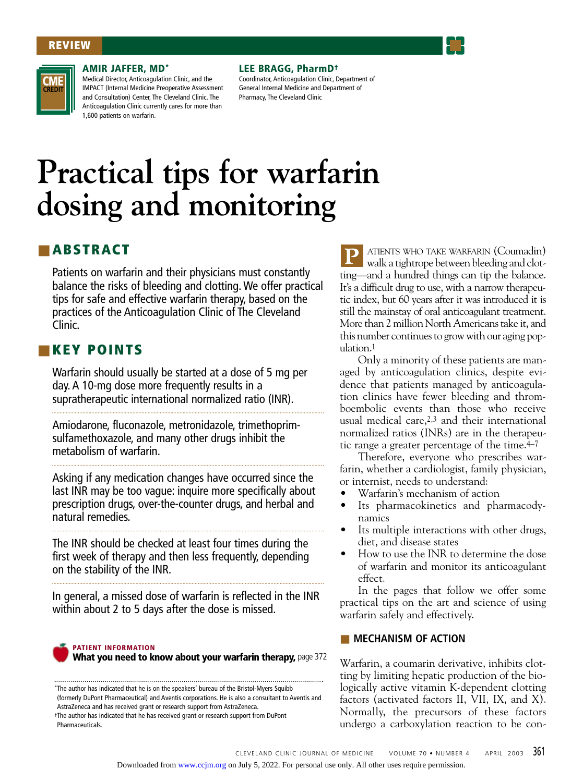## **REVIEW**



#### **AMIR JAFFER, MD\***

Medical Director, Anticoagulation Clinic, and the IMPACT (Internal Medicine Preoperative Assessment and Consultation) Center, The Cleveland Clinic. The Anticoagulation Clinic currently cares for more than 1,600 patients on warfarin.

#### **LEE BRAGG, PharmD†**

Coordinator, Anticoagulation Clinic, Department of General Internal Medicine and Department of Pharmacy, The Cleveland Clinic

# **Practical tips for warfarin dosing and monitoring**

# ■ **ABSTRACT**

Patients on warfarin and their physicians must constantly balance the risks of bleeding and clotting. We offer practical tips for safe and effective warfarin therapy, based on the practices of the Anticoagulation Clinic of The Cleveland Clinic.

# ■ **KEY POINTS**

Warfarin should usually be started at a dose of 5 mg per day. A 10-mg dose more frequently results in a supratherapeutic international normalized ratio (INR).

Amiodarone, fluconazole, metronidazole, trimethoprimsulfamethoxazole, and many other drugs inhibit the metabolism of warfarin.

Asking if any medication changes have occurred since the last INR may be too vague: inquire more specifically about prescription drugs, over-the-counter drugs, and herbal and natural remedies.

The INR should be checked at least four times during the first week of therapy and then less frequently, depending on the stability of the INR.

In general, a missed dose of warfarin is reflected in the INR within about 2 to 5 days after the dose is missed.



**PATIENT INFORMATION**

**What you need to know about your warfarin therapy,** page 372

ATIENTS WHO TAKE WARFARIN (Coumadin) walk a tightrope between bleeding and clotting—and a hundred things can tip the balance. It's a difficult drug to use, with a narrow therapeutic index, but 60 years after it was introduced it is still the mainstay of oral anticoagulant treatment. More than 2 million North Americans take it, and this number continues to grow with our aging population.1 **P**

Only a minority of these patients are managed by anticoagulation clinics, despite evidence that patients managed by anticoagulation clinics have fewer bleeding and thromboembolic events than those who receive usual medical care,2,3 and their international normalized ratios (INRs) are in the therapeutic range a greater percentage of the time. $4-7$ 

Therefore, everyone who prescribes warfarin, whether a cardiologist, family physician, or internist, needs to understand:

- Warfarin's mechanism of action
- Its pharmacokinetics and pharmacodynamics
- Its multiple interactions with other drugs, diet, and disease states
- How to use the INR to determine the dose of warfarin and monitor its anticoagulant effect.

In the pages that follow we offer some practical tips on the art and science of using warfarin safely and effectively.

## ■ **MECHANISM OF ACTION**

Warfarin, a coumarin derivative, inhibits clotting by limiting hepatic production of the biologically active vitamin K-dependent clotting factors (activated factors II, VII, IX, and X). Normally, the precursors of these factors undergo a carboxylation reaction to be con-

<sup>\*</sup>The author has indicated that he is on the speakers' bureau of the Bristol-Myers Squibb (formerly DuPont Pharmaceutical) and Aventis corporations. He is also a consultant to Aventis and AstraZeneca and has received grant or research support from AstraZeneca. †The author has indicated that he has received grant or research support from DuPont **Pharmaceuticals**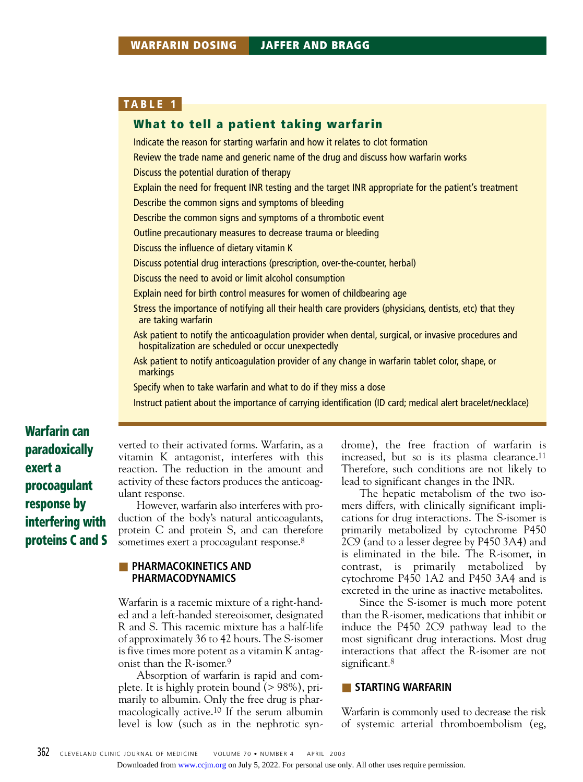## **What to tell a patient taking warfarin**

Indicate the reason for starting warfarin and how it relates to clot formation Review the trade name and generic name of the drug and discuss how warfarin works Discuss the potential duration of therapy Explain the need for frequent INR testing and the target INR appropriate for the patient's treatment Describe the common signs and symptoms of bleeding Describe the common signs and symptoms of a thrombotic event Outline precautionary measures to decrease trauma or bleeding Discuss the influence of dietary vitamin K Discuss potential drug interactions (prescription, over-the-counter, herbal) Discuss the need to avoid or limit alcohol consumption Explain need for birth control measures for women of childbearing age Stress the importance of notifying all their health care providers (physicians, dentists, etc) that they are taking warfarin Ask patient to notify the anticoagulation provider when dental, surgical, or invasive procedures and hospitalization are scheduled or occur unexpectedly Ask patient to notify anticoagulation provider of any change in warfarin tablet color, shape, or markings Specify when to take warfarin and what to do if they miss a dose

Instruct patient about the importance of carrying identification (ID card; medical alert bracelet/necklace)

**Warfarin can paradoxically exert a procoagulant response by interfering with proteins C and S**

verted to their activated forms. Warfarin, as a vitamin K antagonist, interferes with this reaction. The reduction in the amount and activity of these factors produces the anticoagulant response.

However, warfarin also interferes with production of the body's natural anticoagulants, protein C and protein S, and can therefore sometimes exert a procoagulant response.<sup>8</sup>

## **EXPLARMACOKINETICS AND PHARMACODYNAMICS**

Warfarin is a racemic mixture of a right-handed and a left-handed stereoisomer, designated R and S. This racemic mixture has a half-life of approximately 36 to 42 hours. The S-isomer is five times more potent as a vitamin K antagonist than the R-isomer.9

Absorption of warfarin is rapid and complete. It is highly protein bound (> 98%), primarily to albumin. Only the free drug is pharmacologically active.10 If the serum albumin level is low (such as in the nephrotic syndrome), the free fraction of warfarin is increased, but so is its plasma clearance.11 Therefore, such conditions are not likely to lead to significant changes in the INR.

The hepatic metabolism of the two isomers differs, with clinically significant implications for drug interactions. The S-isomer is primarily metabolized by cytochrome P450 2C9 (and to a lesser degree by P450 3A4) and is eliminated in the bile. The R-isomer, in contrast, is primarily metabolized by cytochrome P450 1A2 and P450 3A4 and is excreted in the urine as inactive metabolites.

Since the S-isomer is much more potent than the R-isomer, medications that inhibit or induce the P450 2C9 pathway lead to the most significant drug interactions. Most drug interactions that affect the R-isomer are not significant.<sup>8</sup>

## ■ **STARTING WARFARIN**

Warfarin is commonly used to decrease the risk of systemic arterial thromboembolism (eg,

Downloaded from [www.ccjm.org](http://www.ccjm.org/) on July 5, 2022. For personal use only. All other uses require permission.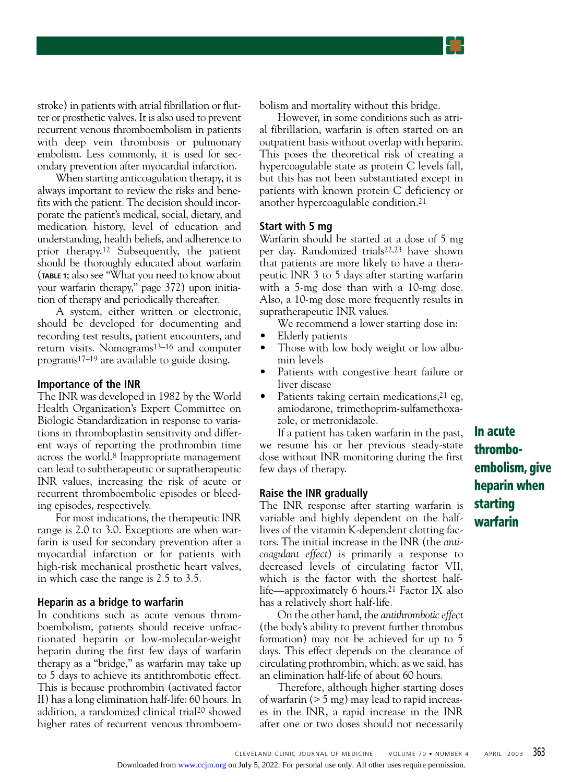stroke) in patients with atrial fibrillation or flutter or prosthetic valves. It is also used to prevent recurrent venous thromboembolism in patients with deep vein thrombosis or pulmonary embolism. Less commonly, it is used for secondary prevention after myocardial infarction.

When starting anticoagulation therapy, it is always important to review the risks and benefits with the patient. The decision should incorporate the patient's medical, social, dietary, and medication history, level of education and understanding, health beliefs, and adherence to prior therapy.12 Subsequently, the patient should be thoroughly educated about warfarin (**TABLE 1**; also see "What you need to know about your warfarin therapy," page 372) upon initiation of therapy and periodically thereafter.

A system, either written or electronic, should be developed for documenting and recording test results, patient encounters, and return visits. Nomograms13–16 and computer programs17–19 are available to guide dosing.

## **Importance of the INR**

The INR was developed in 1982 by the World Health Organization's Expert Committee on Biologic Standardization in response to variations in thromboplastin sensitivity and different ways of reporting the prothrombin time across the world.8 Inappropriate management can lead to subtherapeutic or supratherapeutic INR values, increasing the risk of acute or recurrent thromboembolic episodes or bleeding episodes, respectively.

For most indications, the therapeutic INR range is 2.0 to 3.0. Exceptions are when warfarin is used for secondary prevention after a myocardial infarction or for patients with high-risk mechanical prosthetic heart valves, in which case the range is 2.5 to 3.5.

#### **Heparin as a bridge to warfarin**

In conditions such as acute venous thromboembolism, patients should receive unfractionated heparin or low-molecular-weight heparin during the first few days of warfarin therapy as a "bridge," as warfarin may take up to 5 days to achieve its antithrombotic effect. This is because prothrombin (activated factor II) has a long elimination half-life: 60 hours. In addition, a randomized clinical trial20 showed higher rates of recurrent venous thromboembolism and mortality without this bridge.

However, in some conditions such as atrial fibrillation, warfarin is often started on an outpatient basis without overlap with heparin. This poses the theoretical risk of creating a hypercoagulable state as protein C levels fall, but this has not been substantiated except in patients with known protein C deficiency or another hypercoagulable condition.21

#### **Start with 5 mg**

Warfarin should be started at a dose of 5 mg per day. Randomized trials22,23 have shown that patients are more likely to have a therapeutic INR 3 to 5 days after starting warfarin with a 5-mg dose than with a 10-mg dose. Also, a 10-mg dose more frequently results in supratherapeutic INR values.

- We recommend a lower starting dose in:
- Elderly patients
- Those with low body weight or low albumin levels
- Patients with congestive heart failure or liver disease
- Patients taking certain medications,<sup>21</sup> eg, amiodarone, trimethoprim-sulfamethoxazole, or metronidazole.

If a patient has taken warfarin in the past, we resume his or her previous steady-state dose without INR monitoring during the first few days of therapy.

## **Raise the INR gradually**

The INR response after starting warfarin is variable and highly dependent on the halflives of the vitamin K-dependent clotting factors. The initial increase in the INR (the *anticoagulant effect*) is primarily a response to decreased levels of circulating factor VII, which is the factor with the shortest halflife—approximately 6 hours.21 Factor IX also has a relatively short half-life.

On the other hand, the *antithrombotic effect* (the body's ability to prevent further thrombus formation) may not be achieved for up to 5 days. This effect depends on the clearance of circulating prothrombin, which, as we said, has an elimination half-life of about 60 hours.

Therefore, although higher starting doses of warfarin (> 5 mg) may lead to rapid increases in the INR, a rapid increase in the INR after one or two doses should not necessarily **In acute thromboembolism, give heparin when starting warfarin**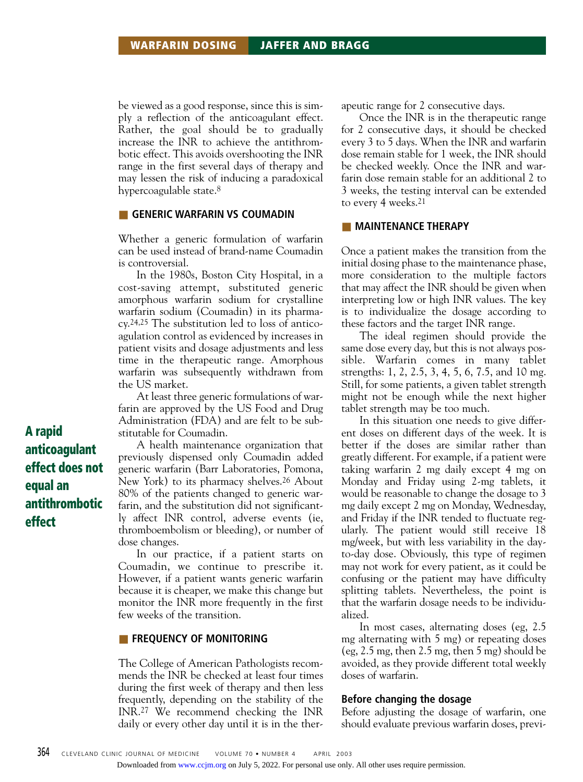be viewed as a good response, since this is simply a reflection of the anticoagulant effect. Rather, the goal should be to gradually increase the INR to achieve the antithrombotic effect. This avoids overshooting the INR range in the first several days of therapy and may lessen the risk of inducing a paradoxical hypercoagulable state.8

## **EXECUTE GENERIC WARFARIN VS COUMADIN**

Whether a generic formulation of warfarin can be used instead of brand-name Coumadin is controversial.

In the 1980s, Boston City Hospital, in a cost-saving attempt, substituted generic amorphous warfarin sodium for crystalline warfarin sodium (Coumadin) in its pharmacy.24,25 The substitution led to loss of anticoagulation control as evidenced by increases in patient visits and dosage adjustments and less time in the therapeutic range. Amorphous warfarin was subsequently withdrawn from the US market.

At least three generic formulations of warfarin are approved by the US Food and Drug Administration (FDA) and are felt to be substitutable for Coumadin.

A health maintenance organization that previously dispensed only Coumadin added generic warfarin (Barr Laboratories, Pomona, New York) to its pharmacy shelves.26 About 80% of the patients changed to generic warfarin, and the substitution did not significantly affect INR control, adverse events (ie, thromboembolism or bleeding), or number of dose changes.

In our practice, if a patient starts on Coumadin, we continue to prescribe it. However, if a patient wants generic warfarin because it is cheaper, we make this change but monitor the INR more frequently in the first few weeks of the transition.

## **EXECUTENCY OF MONITORING**

The College of American Pathologists recommends the INR be checked at least four times during the first week of therapy and then less frequently, depending on the stability of the INR.27 We recommend checking the INR daily or every other day until it is in the therapeutic range for 2 consecutive days.

Once the INR is in the therapeutic range for 2 consecutive days, it should be checked every 3 to 5 days. When the INR and warfarin dose remain stable for 1 week, the INR should be checked weekly. Once the INR and warfarin dose remain stable for an additional 2 to 3 weeks, the testing interval can be extended to every 4 weeks.21

## ■ **MAINTENANCE THERAPY**

Once a patient makes the transition from the initial dosing phase to the maintenance phase, more consideration to the multiple factors that may affect the INR should be given when interpreting low or high INR values. The key is to individualize the dosage according to these factors and the target INR range.

The ideal regimen should provide the same dose every day, but this is not always possible. Warfarin comes in many tablet strengths: 1, 2, 2.5, 3, 4, 5, 6, 7.5, and 10 mg. Still, for some patients, a given tablet strength might not be enough while the next higher tablet strength may be too much.

In this situation one needs to give different doses on different days of the week. It is better if the doses are similar rather than greatly different. For example, if a patient were taking warfarin 2 mg daily except 4 mg on Monday and Friday using 2-mg tablets, it would be reasonable to change the dosage to 3 mg daily except 2 mg on Monday, Wednesday, and Friday if the INR tended to fluctuate regularly. The patient would still receive 18 mg/week, but with less variability in the dayto-day dose. Obviously, this type of regimen may not work for every patient, as it could be confusing or the patient may have difficulty splitting tablets. Nevertheless, the point is that the warfarin dosage needs to be individualized.

In most cases, alternating doses (eg, 2.5 mg alternating with 5 mg) or repeating doses (eg, 2.5 mg, then 2.5 mg, then 5 mg) should be avoided, as they provide different total weekly doses of warfarin.

## **Before changing the dosage**

Before adjusting the dosage of warfarin, one should evaluate previous warfarin doses, previ-

**A rapid anticoagulant effect does not equal an antithrombotic effect**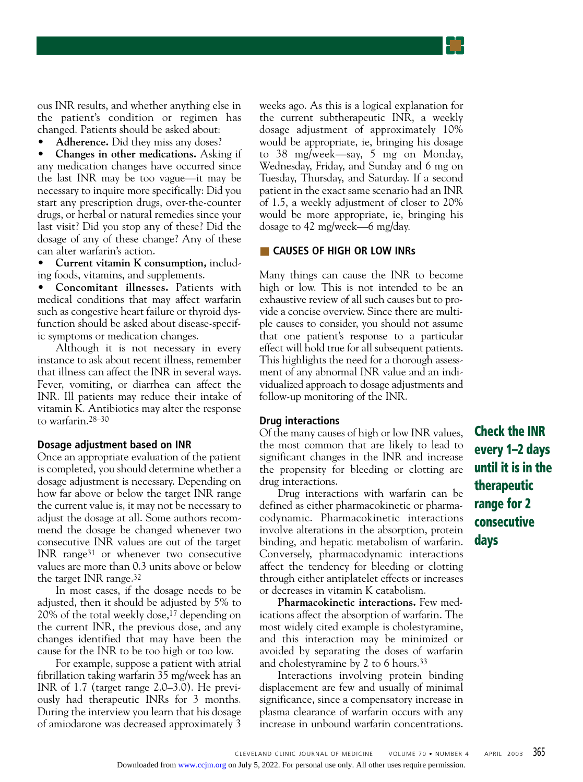

ous INR results, and whether anything else in the patient's condition or regimen has changed. Patients should be asked about:

• **Adherence.** Did they miss any doses?

• **Changes in other medications.** Asking if any medication changes have occurred since the last INR may be too vague—it may be necessary to inquire more specifically: Did you start any prescription drugs, over-the-counter drugs, or herbal or natural remedies since your last visit? Did you stop any of these? Did the dosage of any of these change? Any of these can alter warfarin's action.

• **Current vitamin K consumption,** including foods, vitamins, and supplements.

• **Concomitant illnesses.** Patients with medical conditions that may affect warfarin such as congestive heart failure or thyroid dysfunction should be asked about disease-specific symptoms or medication changes.

Although it is not necessary in every instance to ask about recent illness, remember that illness can affect the INR in several ways. Fever, vomiting, or diarrhea can affect the INR. Ill patients may reduce their intake of vitamin K. Antibiotics may alter the response to warfarin.28–30

#### **Dosage adjustment based on INR**

Once an appropriate evaluation of the patient is completed, you should determine whether a dosage adjustment is necessary. Depending on how far above or below the target INR range the current value is, it may not be necessary to adjust the dosage at all. Some authors recommend the dosage be changed whenever two consecutive INR values are out of the target INR range31 or whenever two consecutive values are more than 0.3 units above or below the target INR range.32

In most cases, if the dosage needs to be adjusted, then it should be adjusted by 5% to 20% of the total weekly dose,17 depending on the current INR, the previous dose, and any changes identified that may have been the cause for the INR to be too high or too low.

For example, suppose a patient with atrial fibrillation taking warfarin 35 mg/week has an INR of 1.7 (target range 2.0–3.0). He previously had therapeutic INRs for 3 months. During the interview you learn that his dosage of amiodarone was decreased approximately 3

weeks ago. As this is a logical explanation for the current subtherapeutic INR, a weekly dosage adjustment of approximately 10% would be appropriate, ie, bringing his dosage to 38 mg/week—say, 5 mg on Monday, Wednesday, Friday, and Sunday and 6 mg on Tuesday, Thursday, and Saturday. If a second patient in the exact same scenario had an INR of 1.5, a weekly adjustment of closer to 20% would be more appropriate, ie, bringing his dosage to 42 mg/week—6 mg/day.

## ■ **CAUSES OF HIGH OR LOW INRs**

Many things can cause the INR to become high or low. This is not intended to be an exhaustive review of all such causes but to provide a concise overview. Since there are multiple causes to consider, you should not assume that one patient's response to a particular effect will hold true for all subsequent patients. This highlights the need for a thorough assessment of any abnormal INR value and an individualized approach to dosage adjustments and follow-up monitoring of the INR.

## **Drug interactions**

Of the many causes of high or low INR values, the most common that are likely to lead to significant changes in the INR and increase the propensity for bleeding or clotting are drug interactions.

Drug interactions with warfarin can be defined as either pharmacokinetic or pharmacodynamic. Pharmacokinetic interactions involve alterations in the absorption, protein binding, and hepatic metabolism of warfarin. Conversely, pharmacodynamic interactions affect the tendency for bleeding or clotting through either antiplatelet effects or increases or decreases in vitamin K catabolism.

**Pharmacokinetic interactions.** Few medications affect the absorption of warfarin. The most widely cited example is cholestyramine, and this interaction may be minimized or avoided by separating the doses of warfarin and cholestyramine by 2 to 6 hours.33

Interactions involving protein binding displacement are few and usually of minimal significance, since a compensatory increase in plasma clearance of warfarin occurs with any increase in unbound warfarin concentrations. **Check the INR every 1–2 days until it is in the therapeutic range for 2 consecutive days**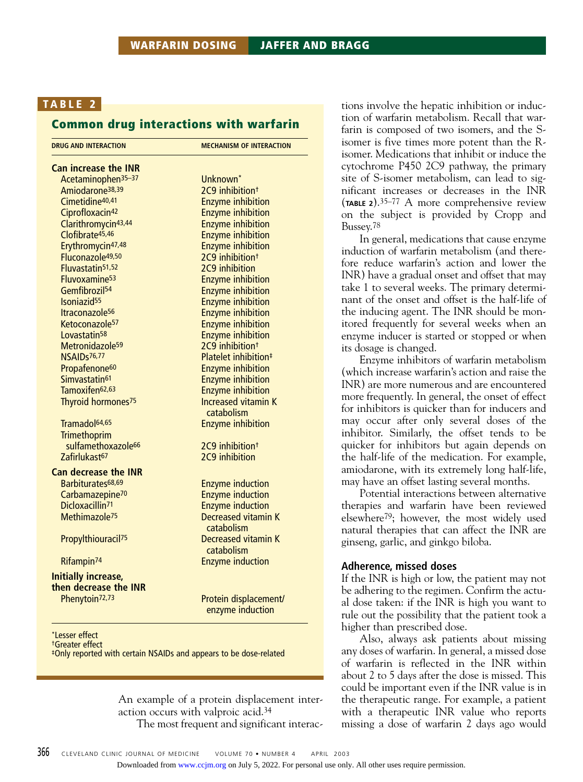## **Common drug interactions with warfarin**

| Unknown <sup>*</sup><br>2C9 inhibition <sup>+</sup><br><b>Enzyme inhibition</b><br><b>Enzyme inhibition</b><br><b>Enzyme inhibition</b><br><b>Enzyme inhibition</b><br><b>Enzyme inhibition</b><br>2C9 inhibition <sup>+</sup><br>2C9 inhibition<br><b>Enzyme inhibition</b><br><b>Enzyme inhibition</b><br><b>Enzyme inhibition</b><br><b>Enzyme inhibition</b><br><b>Enzyme inhibition</b><br><b>Enzyme inhibition</b><br>2C9 inhibition <sup>+</sup><br>Platelet inhibition <sup>#</sup> |
|---------------------------------------------------------------------------------------------------------------------------------------------------------------------------------------------------------------------------------------------------------------------------------------------------------------------------------------------------------------------------------------------------------------------------------------------------------------------------------------------|
|                                                                                                                                                                                                                                                                                                                                                                                                                                                                                             |
|                                                                                                                                                                                                                                                                                                                                                                                                                                                                                             |
|                                                                                                                                                                                                                                                                                                                                                                                                                                                                                             |
|                                                                                                                                                                                                                                                                                                                                                                                                                                                                                             |
|                                                                                                                                                                                                                                                                                                                                                                                                                                                                                             |
|                                                                                                                                                                                                                                                                                                                                                                                                                                                                                             |
|                                                                                                                                                                                                                                                                                                                                                                                                                                                                                             |
|                                                                                                                                                                                                                                                                                                                                                                                                                                                                                             |
|                                                                                                                                                                                                                                                                                                                                                                                                                                                                                             |
|                                                                                                                                                                                                                                                                                                                                                                                                                                                                                             |
|                                                                                                                                                                                                                                                                                                                                                                                                                                                                                             |
|                                                                                                                                                                                                                                                                                                                                                                                                                                                                                             |
|                                                                                                                                                                                                                                                                                                                                                                                                                                                                                             |
|                                                                                                                                                                                                                                                                                                                                                                                                                                                                                             |
|                                                                                                                                                                                                                                                                                                                                                                                                                                                                                             |
|                                                                                                                                                                                                                                                                                                                                                                                                                                                                                             |
|                                                                                                                                                                                                                                                                                                                                                                                                                                                                                             |
|                                                                                                                                                                                                                                                                                                                                                                                                                                                                                             |
| <b>Enzyme inhibition</b>                                                                                                                                                                                                                                                                                                                                                                                                                                                                    |
| <b>Enzyme inhibition</b>                                                                                                                                                                                                                                                                                                                                                                                                                                                                    |
| <b>Enzyme inhibition</b>                                                                                                                                                                                                                                                                                                                                                                                                                                                                    |
| <b>Increased vitamin K</b><br>catabolism                                                                                                                                                                                                                                                                                                                                                                                                                                                    |
| <b>Enzyme inhibition</b>                                                                                                                                                                                                                                                                                                                                                                                                                                                                    |
|                                                                                                                                                                                                                                                                                                                                                                                                                                                                                             |
| 2C9 inhibition <sup>†</sup>                                                                                                                                                                                                                                                                                                                                                                                                                                                                 |
| 2C9 inhibition                                                                                                                                                                                                                                                                                                                                                                                                                                                                              |
|                                                                                                                                                                                                                                                                                                                                                                                                                                                                                             |
| <b>Enzyme induction</b>                                                                                                                                                                                                                                                                                                                                                                                                                                                                     |
| <b>Enzyme induction</b>                                                                                                                                                                                                                                                                                                                                                                                                                                                                     |
| <b>Enzyme induction</b>                                                                                                                                                                                                                                                                                                                                                                                                                                                                     |
| <b>Decreased vitamin K</b>                                                                                                                                                                                                                                                                                                                                                                                                                                                                  |
| catabolism                                                                                                                                                                                                                                                                                                                                                                                                                                                                                  |
| Decreased vitamin K                                                                                                                                                                                                                                                                                                                                                                                                                                                                         |
| catabolism                                                                                                                                                                                                                                                                                                                                                                                                                                                                                  |
| <b>Enzyme induction</b>                                                                                                                                                                                                                                                                                                                                                                                                                                                                     |
|                                                                                                                                                                                                                                                                                                                                                                                                                                                                                             |
|                                                                                                                                                                                                                                                                                                                                                                                                                                                                                             |
|                                                                                                                                                                                                                                                                                                                                                                                                                                                                                             |
| Protein displacement/<br>enzyme induction                                                                                                                                                                                                                                                                                                                                                                                                                                                   |
|                                                                                                                                                                                                                                                                                                                                                                                                                                                                                             |

†Greater effect

‡Only reported with certain NSAIDs and appears to be dose-related

An example of a protein displacement interaction occurs with valproic acid.34 The most frequent and significant interac-

tions involve the hepatic inhibition or induction of warfarin metabolism. Recall that warfarin is composed of two isomers, and the Sisomer is five times more potent than the Risomer. Medications that inhibit or induce the cytochrome P450 2C9 pathway, the primary site of S-isomer metabolism, can lead to significant increases or decreases in the INR (**TABLE 2**).35–77 A more comprehensive review on the subject is provided by Cropp and Bussey.78

In general, medications that cause enzyme induction of warfarin metabolism (and therefore reduce warfarin's action and lower the INR) have a gradual onset and offset that may take 1 to several weeks. The primary determinant of the onset and offset is the half-life of the inducing agent. The INR should be monitored frequently for several weeks when an enzyme inducer is started or stopped or when its dosage is changed.

Enzyme inhibitors of warfarin metabolism (which increase warfarin's action and raise the INR) are more numerous and are encountered more frequently. In general, the onset of effect for inhibitors is quicker than for inducers and may occur after only several doses of the inhibitor. Similarly, the offset tends to be quicker for inhibitors but again depends on the half-life of the medication. For example, amiodarone, with its extremely long half-life, may have an offset lasting several months.

Potential interactions between alternative therapies and warfarin have been reviewed elsewhere79; however, the most widely used natural therapies that can affect the INR are ginseng, garlic, and ginkgo biloba.

#### **Adherence, missed doses**

If the INR is high or low, the patient may not be adhering to the regimen. Confirm the actual dose taken: if the INR is high you want to rule out the possibility that the patient took a higher than prescribed dose.

Also, always ask patients about missing any doses of warfarin. In general, a missed dose of warfarin is reflected in the INR within about 2 to 5 days after the dose is missed. This could be important even if the INR value is in the therapeutic range. For example, a patient with a therapeutic INR value who reports missing a dose of warfarin 2 days ago would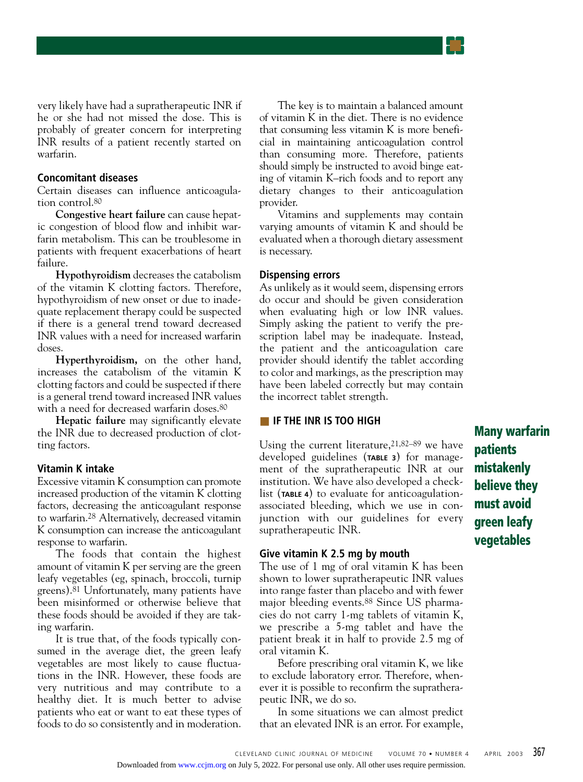very likely have had a supratherapeutic INR if he or she had not missed the dose. This is probably of greater concern for interpreting INR results of a patient recently started on warfarin.

## **Concomitant diseases**

Certain diseases can influence anticoagulation control.80

**Congestive heart failure** can cause hepatic congestion of blood flow and inhibit warfarin metabolism. This can be troublesome in patients with frequent exacerbations of heart failure.

**Hypothyroidism** decreases the catabolism of the vitamin K clotting factors. Therefore, hypothyroidism of new onset or due to inadequate replacement therapy could be suspected if there is a general trend toward decreased INR values with a need for increased warfarin doses.

**Hyperthyroidism,** on the other hand, increases the catabolism of the vitamin K clotting factors and could be suspected if there is a general trend toward increased INR values with a need for decreased warfarin doses.<sup>80</sup>

**Hepatic failure** may significantly elevate the INR due to decreased production of clotting factors.

#### **Vitamin K intake**

Excessive vitamin K consumption can promote increased production of the vitamin K clotting factors, decreasing the anticoagulant response to warfarin.28 Alternatively, decreased vitamin K consumption can increase the anticoagulant response to warfarin.

The foods that contain the highest amount of vitamin K per serving are the green leafy vegetables (eg, spinach, broccoli, turnip greens).81 Unfortunately, many patients have been misinformed or otherwise believe that these foods should be avoided if they are taking warfarin.

It is true that, of the foods typically consumed in the average diet, the green leafy vegetables are most likely to cause fluctuations in the INR. However, these foods are very nutritious and may contribute to a healthy diet. It is much better to advise patients who eat or want to eat these types of foods to do so consistently and in moderation.

The key is to maintain a balanced amount of vitamin K in the diet. There is no evidence that consuming less vitamin K is more beneficial in maintaining anticoagulation control than consuming more. Therefore, patients should simply be instructed to avoid binge eating of vitamin K–rich foods and to report any dietary changes to their anticoagulation provider.

Vitamins and supplements may contain varying amounts of vitamin K and should be evaluated when a thorough dietary assessment is necessary.

## **Dispensing errors**

As unlikely as it would seem, dispensing errors do occur and should be given consideration when evaluating high or low INR values. Simply asking the patient to verify the prescription label may be inadequate. Instead, the patient and the anticoagulation care provider should identify the tablet according to color and markings, as the prescription may have been labeled correctly but may contain the incorrect tablet strength.

## ■ **IF THE INR IS TOO HIGH**

Using the current literature,  $21,82-89$  we have developed guidelines (**TABLE 3**) for management of the supratherapeutic INR at our institution. We have also developed a checklist (**TABLE 4**) to evaluate for anticoagulationassociated bleeding, which we use in conjunction with our guidelines for every supratherapeutic INR.

## **Give vitamin K 2.5 mg by mouth**

The use of 1 mg of oral vitamin K has been shown to lower supratherapeutic INR values into range faster than placebo and with fewer major bleeding events.88 Since US pharmacies do not carry 1-mg tablets of vitamin K, we prescribe a 5-mg tablet and have the patient break it in half to provide 2.5 mg of oral vitamin K.

Before prescribing oral vitamin K, we like to exclude laboratory error. Therefore, whenever it is possible to reconfirm the supratherapeutic INR, we do so.

In some situations we can almost predict that an elevated INR is an error. For example, **Many warfarin patients mistakenly believe they must avoid green leafy vegetables**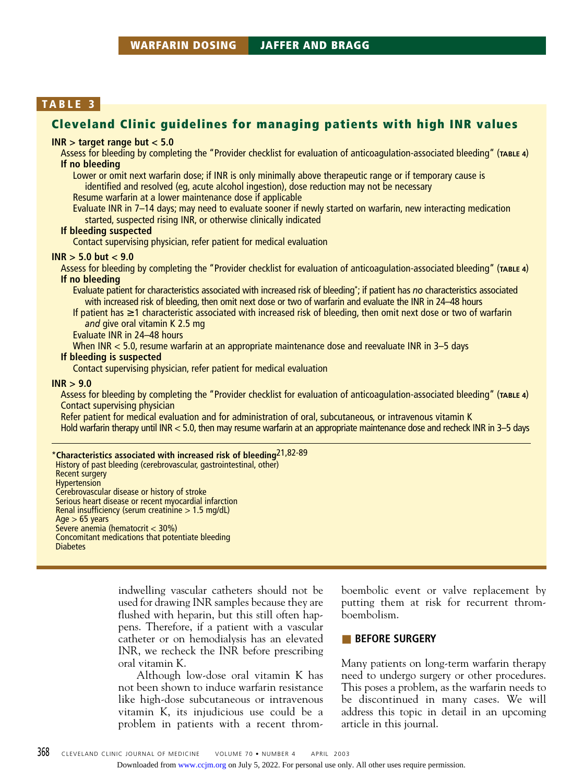# **Cleveland Clinic guidelines for managing patients with high INR values**

#### **INR > target range but < 5.0**

Assess for bleeding by completing the "Provider checklist for evaluation of anticoagulation-associated bleeding" (**TABLE 4**) **If no bleeding**

Lower or omit next warfarin dose; if INR is only minimally above therapeutic range or if temporary cause is identified and resolved (eg, acute alcohol ingestion), dose reduction may not be necessary

Resume warfarin at a lower maintenance dose if applicable

Evaluate INR in 7–14 days; may need to evaluate sooner if newly started on warfarin, new interacting medication started, suspected rising INR, or otherwise clinically indicated

#### **If bleeding suspected**

Contact supervising physician, refer patient for medical evaluation

#### **INR > 5.0 but < 9.0**

Assess for bleeding by completing the "Provider checklist for evaluation of anticoagulation-associated bleeding" (**TABLE 4**) **If no bleeding**

Evaluate patient for characteristics associated with increased risk of bleeding\*; if patient has *no* characteristics associated with increased risk of bleeding, then omit next dose or two of warfarin and evaluate the INR in 24–48 hours

If patient has ≥ 1 characteristic associated with increased risk of bleeding, then omit next dose or two of warfarin *and* give oral vitamin K 2.5 mg

Evaluate INR in 24–48 hours

When INR < 5.0, resume warfarin at an appropriate maintenance dose and reevaluate INR in 3–5 days

## **If bleeding is suspected**

Contact supervising physician, refer patient for medical evaluation

#### **INR > 9.0**

Assess for bleeding by completing the "Provider checklist for evaluation of anticoagulation-associated bleeding" (**TABLE 4**) Contact supervising physician

Refer patient for medical evaluation and for administration of oral, subcutaneous, or intravenous vitamin K Hold warfarin therapy until INR < 5.0, then may resume warfarin at an appropriate maintenance dose and recheck INR in 3–5 days

\***Characteristics associated with increased risk of bleeding**21,82-89 History of past bleeding (cerebrovascular, gastrointestinal, other) Recent surgery **Hypertension** Cerebrovascular disease or history of stroke Serious heart disease or recent myocardial infarction Renal insufficiency (serum creatinine > 1.5 mg/dL)  $Age > 65$  years Severe anemia (hematocrit < 30%) Concomitant medications that potentiate bleeding **Diabetes** 

> indwelling vascular catheters should not be used for drawing INR samples because they are flushed with heparin, but this still often happens. Therefore, if a patient with a vascular catheter or on hemodialysis has an elevated INR, we recheck the INR before prescribing oral vitamin K.

> Although low-dose oral vitamin K has not been shown to induce warfarin resistance like high-dose subcutaneous or intravenous vitamin K, its injudicious use could be a problem in patients with a recent throm-

boembolic event or valve replacement by putting them at risk for recurrent thromboembolism.

## ■ **BEFORE SURGERY**

Many patients on long-term warfarin therapy need to undergo surgery or other procedures. This poses a problem, as the warfarin needs to be discontinued in many cases. We will address this topic in detail in an upcoming article in this journal.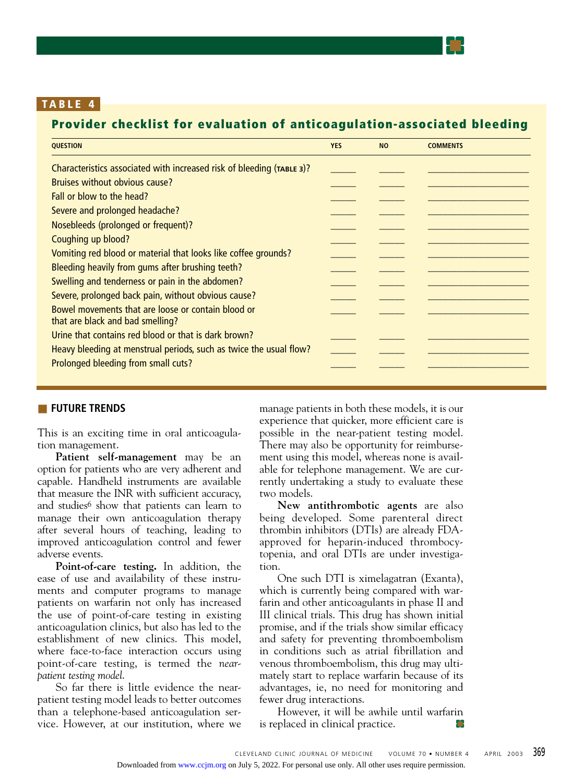# **Provider checklist for evaluation of anticoagulation-associated bleeding**

| <b>QUESTION</b>                                                                        | <b>YES</b> | <b>NO</b> | <b>COMMENTS</b> |
|----------------------------------------------------------------------------------------|------------|-----------|-----------------|
| Characteristics associated with increased risk of bleeding (TABLE 3)?                  |            |           |                 |
| Bruises without obvious cause?                                                         |            |           |                 |
| Fall or blow to the head?                                                              |            |           |                 |
| Severe and prolonged headache?                                                         |            |           |                 |
| Nosebleeds (prolonged or frequent)?                                                    |            |           |                 |
| Coughing up blood?                                                                     |            |           |                 |
| Vomiting red blood or material that looks like coffee grounds?                         |            |           |                 |
| Bleeding heavily from gums after brushing teeth?                                       |            |           |                 |
| Swelling and tenderness or pain in the abdomen?                                        |            |           |                 |
| Severe, prolonged back pain, without obvious cause?                                    |            |           |                 |
| Bowel movements that are loose or contain blood or<br>that are black and bad smelling? |            |           |                 |
| Urine that contains red blood or that is dark brown?                                   |            |           |                 |
| Heavy bleeding at menstrual periods, such as twice the usual flow?                     |            |           |                 |
| Prolonged bleeding from small cuts?                                                    |            |           |                 |
|                                                                                        |            |           |                 |

## ■ **FUTURE TRENDS**

This is an exciting time in oral anticoagulation management.

**Patient self-management** may be an option for patients who are very adherent and capable. Handheld instruments are available that measure the INR with sufficient accuracy, and studies<sup>6</sup> show that patients can learn to manage their own anticoagulation therapy after several hours of teaching, leading to improved anticoagulation control and fewer adverse events.

**Point-of-care testing.** In addition, the ease of use and availability of these instruments and computer programs to manage patients on warfarin not only has increased the use of point-of-care testing in existing anticoagulation clinics, but also has led to the establishment of new clinics. This model, where face-to-face interaction occurs using point-of-care testing, is termed the *nearpatient testing model*.

So far there is little evidence the nearpatient testing model leads to better outcomes than a telephone-based anticoagulation service. However, at our institution, where we

manage patients in both these models, it is our experience that quicker, more efficient care is possible in the near-patient testing model. There may also be opportunity for reimbursement using this model, whereas none is available for telephone management. We are currently undertaking a study to evaluate these two models.

**New antithrombotic agents** are also being developed. Some parenteral direct thrombin inhibitors (DTIs) are already FDAapproved for heparin-induced thrombocytopenia, and oral DTIs are under investigation.

One such DTI is ximelagatran (Exanta), which is currently being compared with warfarin and other anticoagulants in phase II and III clinical trials. This drug has shown initial promise, and if the trials show similar efficacy and safety for preventing thromboembolism in conditions such as atrial fibrillation and venous thromboembolism, this drug may ultimately start to replace warfarin because of its advantages, ie, no need for monitoring and fewer drug interactions.

However, it will be awhile until warfarin is replaced in clinical practice. m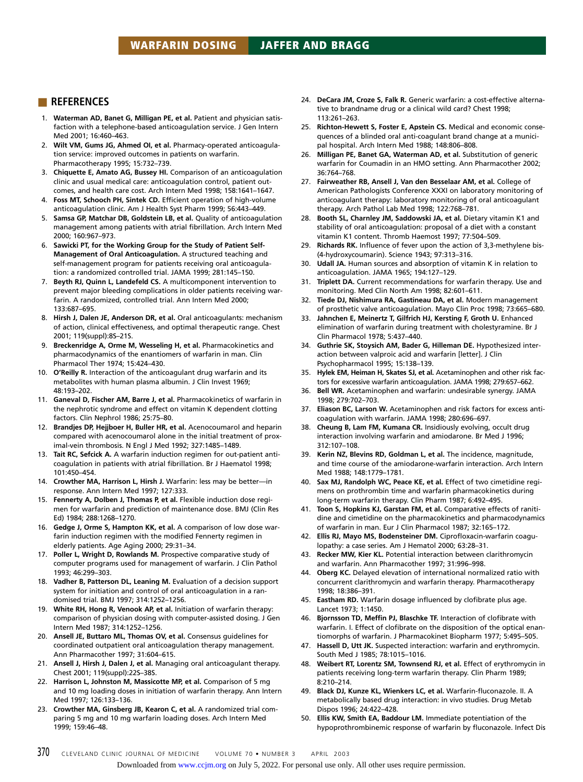#### ■ **REFERENCES**

- 1. **Waterman AD, Banet G, Milligan PE, et al.** Patient and physician satisfaction with a telephone-based anticoagulation service. J Gen Intern Med 2001; 16:460–463.
- 2. **Wilt VM, Gums JG, Ahmed OI, et al.** Pharmacy-operated anticoagulation service: improved outcomes in patients on warfarin. Pharmacotherapy 1995; 15:732–739.
- 3. **Chiquette E, Amato AG, Bussey HI.** Comparison of an anticoagulation clinic and usual medical care: anticoagulation control, patient outcomes, and health care cost. Arch Intern Med 1998; 158:1641–1647.
- 4. **Foss MT, Schooch PH, Sintek CD.** Efficient operation of high-volume anticoagulation clinic. Am J Health Syst Pharm 1999; 56:443–449.
- 5. **Samsa GP, Matchar DB, Goldstein LB, et al.** Quality of anticoagulation management among patients with atrial fibrillation. Arch Intern Med 2000; 160:967–973.
- 6. **Sawicki PT, for the Working Group for the Study of Patient Self-Management of Oral Anticoagulation.** A structured teaching and self-management program for patients receiving oral anticoagulation: a randomized controlled trial. JAMA 1999; 281:145–150.
- 7. **Beyth RJ, Quinn L, Landefeld CS.** A multicomponent intervention to prevent major bleeding complications in older patients receiving warfarin. A randomized, controlled trial. Ann Intern Med 2000; 133:687–695.
- 8. **Hirsh J, Dalen JE, Anderson DR, et al.** Oral anticoagulants: mechanism of action, clinical effectiveness, and optimal therapeutic range. Chest 2001; 119(suppl):8S–21S.
- 9. **Breckenridge A, Orme M, Wesseling H, et al.** Pharmacokinetics and pharmacodynamics of the enantiomers of warfarin in man. Clin Pharmacol Ther 1974; 15:424–430.
- 10. **O'Reilly R.** Interaction of the anticoagulant drug warfarin and its metabolites with human plasma albumin. J Clin Invest 1969; 48:193–202.
- 11. **Ganeval D, Fischer AM, Barre J, et al.** Pharmacokinetics of warfarin in the nephrotic syndrome and effect on vitamin K dependent clotting factors. Clin Nephrol 1986; 25:75–80.
- 12. **Brandjes DP, Hejjboer H, Buller HR, et al.** Acenocoumarol and heparin compared with acenocoumarol alone in the initial treatment of proximal-vein thrombosis. N Engl J Med 1992; 327:1485–1489.
- 13. **Tait RC, Sefcick A.** A warfarin induction regimen for out-patient anticoagulation in patients with atrial fibrillation. Br J Haematol 1998; 101:450–454.
- 14. **Crowther MA, Harrison L, Hirsh J.** Warfarin: less may be better—in response. Ann Intern Med 1997; 127:333.
- 15. **Fennerty A, Dolben J, Thomas P, et al.** Flexible induction dose regimen for warfarin and prediction of maintenance dose. BMJ (Clin Res Ed) 1984; 288:1268–1270.
- 16. **Gedge J, Orme S, Hampton KK, et al.** A comparison of low dose warfarin induction regimen with the modified Fennerty regimen in elderly patients. Age Aging 2000; 29:31–34.
- 17. **Poller L, Wright D, Rowlands M.** Prospective comparative study of computer programs used for management of warfarin. J Clin Pathol 1993; 46:299–303.
- 18. **Vadher B, Patterson DL, Leaning M.** Evaluation of a decision support system for initiation and control of oral anticoagulation in a randomised trial. BMJ 1997; 314:1252–1256.
- 19. **White RH, Hong R, Venook AP, et al.** Initiation of warfarin therapy: comparison of physician dosing with computer-assisted dosing. J Gen Intern Med 1987; 314:1252–1256.
- 20. **Ansell JE, Buttaro ML, Thomas OV, et al.** Consensus guidelines for coordinated outpatient oral anticoagulation therapy management. Ann Pharmacother 1997; 31:604–615.
- 21. **Ansell J, Hirsh J, Dalen J, et al.** Managing oral anticoagulant therapy. Chest 2001; 119(suppl):22S–38S.
- 22. **Harrison L, Johnston M, Massicotte MP, et al.** Comparison of 5 mg and 10 mg loading doses in initiation of warfarin therapy. Ann Intern Med 1997; 126:133–136.
- 23. **Crowther MA, Ginsberg JB, Kearon C, et al.** A randomized trial comparing 5 mg and 10 mg warfarin loading doses. Arch Intern Med 1999; 159:46–48.
- 24. **DeCara JM, Croze S, Falk R.** Generic warfarin: a cost-effective alternative to brandname drug or a clinical wild card? Chest 1998; 113:261–263.
- 25. **Richton-Hewett S, Foster E, Apstein CS.** Medical and economic consequences of a blinded oral anti-coagulant brand change at a municipal hospital. Arch Intern Med 1988; 148:806–808.
- 26. **Milligan PE, Banet GA, Waterman AD, et al.** Substitution of generic warfarin for Coumadin in an HMO setting. Ann Pharmacother 2002; 36:764–768.
- 27. **Fairweather RB, Ansell J, Van den Besselaar AM, et al.** College of American Pathologists Conference XXXI on laboratory monitoring of anticoagulant therapy: laboratory monitoring of oral anticoagulant therapy. Arch Pathol Lab Med 1998; 122:768–781.
- 28. **Booth SL, Charnley JM, Saddowski JA, et al.** Dietary vitamin K1 and stability of oral anticoagulation: proposal of a diet with a constant vitamin K1 content. Thromb Haemost 1997; 77:504–509.
- 29. **Richards RK.** Influence of fever upon the action of 3,3-methylene bis- (4-hydroxycoumarin). Science 1943; 97:313–316.
- 30. **Udall JA.** Human sources and absorption of vitamin K in relation to anticoagulation. JAMA 1965; 194:127–129.
- 31. **Triplett DA.** Current recommendations for warfarin therapy. Use and monitoring. Med Clin North Am 1998; 82:601–611.
- 32. **Tiede DJ, Nishimura RA, Gastineau DA, et al.** Modern management of prosthetic valve anticoagulation. Mayo Clin Proc 1998; 73:665–680.
- 33. **Jahnchen E, Meinertz T, Gilfrich HJ, Kersting F, Groth U.** Enhanced elimination of warfarin during treatment with cholestyramine. Br J Clin Pharmacol 1978; 5:437–440.
- 34. **Guthrie SK, Stoysich AM, Bader G, Hilleman DE.** Hypothesized interaction between valproic acid and warfarin [letter]. J Clin Psychopharmacol 1995; 15:138–139.
- 35. **Hylek EM, Heiman H, Skates SJ, et al.** Acetaminophen and other risk factors for excessive warfarin anticoagulation. JAMA 1998; 279:657–662.
- 36. **Bell WR.** Acetaminophen and warfarin: undesirable synergy. JAMA 1998; 279:702–703.
- 37. **Eliason BC, Larson W.** Acetaminophen and risk factors for excess anticoagulation with warfarin. JAMA 1998; 280:696–697.
- 38. **Cheung B, Lam FM, Kumana CR.** Insidiously evolving, occult drug interaction involving warfarin and amiodarone. Br Med J 1996; 312:107–108.
- 39. **Kerin NZ, Blevins RD, Goldman L, et al.** The incidence, magnitude, and time course of the amiodarone-warfarin interaction. Arch Intern Med 1988; 148:1779–1781.
- 40. **Sax MJ, Randolph WC, Peace KE, et al.** Effect of two cimetidine regimens on prothrombin time and warfarin pharmacokinetics during long-term warfarin therapy. Clin Pharm 1987; 6:492–495.
- 41. **Toon S, Hopkins KJ, Garstan FM, et al.** Comparative effects of ranitidine and cimetidine on the pharmacokinetics and pharmacodynamics of warfarin in man. Eur J Clin Pharmacol 1987; 32:165–172.
- 42. **Ellis RJ, Mayo MS, Bodensteiner DM.** Ciprofloxacin-warfarin coagulopathy: a case series. Am J Hematol 2000; 63:28–31.
- 43. **Recker MW, Kier KL.** Potential interaction between clarithromycin and warfarin. Ann Pharmacother 1997; 31:996–998.
- 44. **Oberg KC.** Delayed elevation of international normalized ratio with concurrent clarithromycin and warfarin therapy. Pharmacotherapy 1998; 18:386–391.
- 45. **Eastham RD.** Warfarin dosage influenced by clofibrate plus age. Lancet 1973; 1:1450.
- 46. **Bjornsson TD, Meffin PJ, Blaschke TF.** Interaction of clofibrate with warfarin. I. Effect of clofibrate on the disposition of the optical enantiomorphs of warfarin. J Pharmacokinet Biopharm 1977; 5:495–505.
- 47. **Hassell D, Utt JK.** Suspected interaction: warfarin and erythromycin. South Med J 1985; 78:1015–1016.
- 48. **Weibert RT, Lorentz SM, Townsend RJ, et al.** Effect of erythromycin in patients receiving long-term warfarin therapy. Clin Pharm 1989; 8:210–214.
- 49. **Black DJ, Kunze KL, Wienkers LC, et al.** Warfarin-fluconazole. II. A metabolically based drug interaction: in vivo studies. Drug Metab Dispos 1996; 24:422–428.
- 50. **Ellis KW, Smith EA, Baddour LM.** Immediate potentiation of the hypoprothrombinemic response of warfarin by fluconazole. Infect Dis